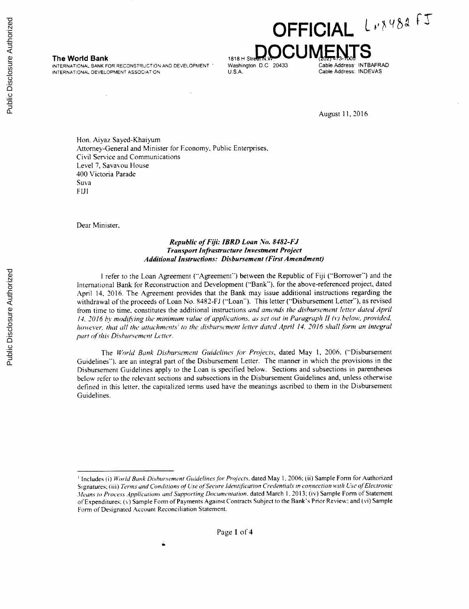INTERNATIONAL BANK FOR RECONSTRUCTION AND DEVELOPMENT **Washington. D.C 20433** Cable Address: INTBAFR.<br>INTERNATIONAL DEVELOPMENT ASSOCIATION INTERNATIONAL DEVELOPMENT ASSOCIATION

**OFFICIAL** L<sub>K8484</sub> FJ The World Bank **The World Bank** 1818 H Street N.W. 2000 MENTS CREASE INTERNATIONAL BANK FOR RECONSTRUCTION AND DEVELOPMENT Washington. D.C. 20433

August **11, 2016**

Hon. Aiyaz Sayed-Khaiyum Attorney-General and Minister for Economy, Public Enterprises. Civil Service and Communications Level **7,** Savavou House 400 Victoria Parade Suva **FII**

Dear Minister.

# *Republic of Fiji: IBRD Loan No. 8482-FJ Transport Infrastructure Investment Project Additional Instructions: Disbursement (First Amendment)*

**I** refer to the Loan Agreement ("Agreement") between the Republic of **Fiji** ("Borrower") and the International Bank for Reconstruction and Development ("Bank"). for the above-referenced project, dated April 14, **2016.** The Agreement provides that the Bank may issue additional instructions regarding the withdrawal of the proceeds of Loan No. **8482-FJ** ("Loan"). This letter ("Disbursement Letter"), as revised from time to time, constitutes the additional instructions and amends *the disbursement* letter dated April 14. 2016 by modifying the minimum value of applications, as set out in Paragraph *II (v)* below, provided. however, that all the attachments<sup>1</sup> to the disbursement letter dated April 14, 2016 shall form an integral part of this Disbursement Letter.

The World Bank Disbursement Guidelines for *Projects,* dated May **1, 2006.** ("Disbursement Guidelines"). are an integral part of the Disbursement Letter. The manner in which the provisions in the Disbursement Guidelines apply to the Loan is specified below. Sections and subsections in parentheses below refer to the relevant sections and subsections in the Disbursement Guidelines and, unless otherwise defined in this letter, the capitalized terms used have the meanings ascribed to them in the Disbursement Guidelines.

<sup>&#</sup>x27;Includes (i) World Bank Disbursement Guidelines for Projects, dated May **1, 2006:** (ii) Sample Form for Authorized Signatures, (iii) Terms and Conditions **of** Use ofSecure ldentification Credentials in **connection** with Use of'Electronic *Ifeans* to Process Applications and Supporting Documentation. dated March **1. 2013;** (iv) Sample Form of Statement of Expenditures: (v) Sample Form of Payments Against Contracts Subject to the Bank's Prior Review: and (vi) Sample Form of Designated Account Reconciliation Statement.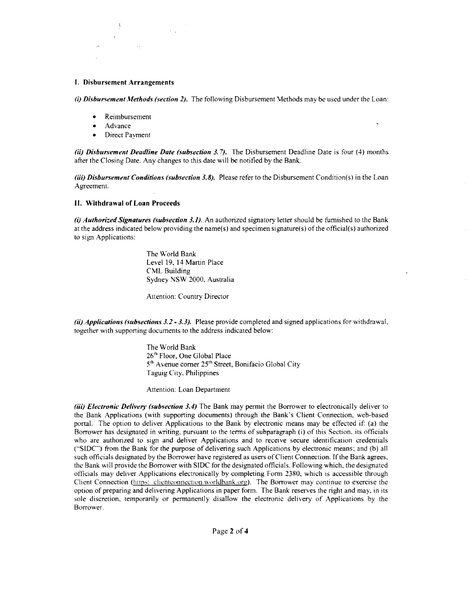## **I. Disbursement Arrangements**

(i) Disbursement Methods (section 2). The following Disbursement Methods may be used under the Loan:

- **Reimbursement**
- Advance
- \* Direct Payment

**ii) Disbursement Deadline Date (subsection 3.7).** The Disbursement Deadline Date is four (4) months after the Closing Date. Any changes to this date will be notified **by** the Bank.

**(iii) Disbursement Conditions (subsection 3.8).** Please refer to the Disbursement Condition(s) in the Loan Agreement.

#### **II. Withdrawal of Loan Proceeds**

*(i)* **Authorized Signatures (subsection 3.1).** An authorized signatory letter should be furnished to the Bank at the address indicated below providing the name(s) and specimen signature(s) of the official(s) authorized to sign Applications:

> The World Bank Level **19,** 14 Martin Place CML Building Sydney **NSW** 2000, Australia

Attention: Country Director

**(ii) Applications (subsections 3.2- 3.3).** Please provide completed and signed applications for withdrawal, together with supporting documents to the address indicated below:

> The World Bank 26<sup>th</sup> Floor, One Global Place **<sup>5</sup>'h** Avenue corner **25"** Street, Bonifacio Global City Taguig City, Philippines

Attention: Loan Department

**(iii) Electronic Delivery (subsection 3.4)** The Bank may permit the Borrower to electronically deliver to the Bank Applications (with supporting documents) through the Bank's Client Connection, web-based portal. The option to deliver Applications to the Bank **by** electronic means may **be** effected if: (a) the Borrower has designated in writing, pursuant to the terms of subparagraph **(i)** of this Section. its officials who are authorized to sign and deliver Applications and to receive secure identification credentials **("SIDC")** from the Bank for the purpose of delivering such Applications **by** electronic means, and **(b)** all the Bank will provide the Borrower with SIDC for the designated officials. Following which, the designated officials may deliver Applications electronically by completing Form 2380, which is accessible through Client Conne option of preparing and delivering Applications in paper form. The Bank reserves the right and may, in its sole discretion, temporarily or permanently disallow the electronic delivery of Applications **by** the Borrower.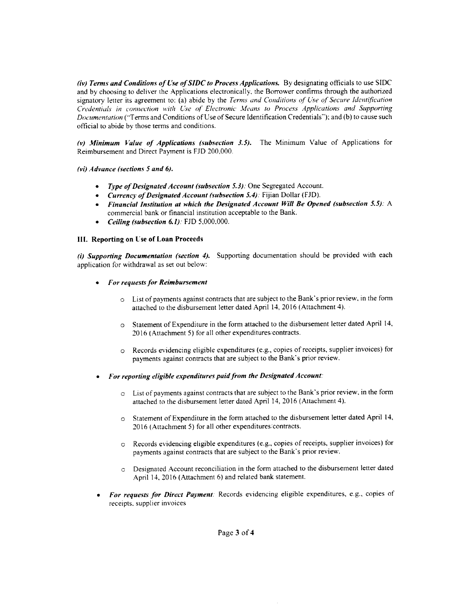*(iv) Terms and Conditions of Use ofSIDC to Process Applications.* **By** designating officials to use **SIDC** and **by** choosing to deliver the Applications electronically, the Borrower confirms through the authorized signatory letter its agreement to: (a) abide **by** the Terms *and Conditions of Use of Secure Identification* Credentials in connection with Use *of Electronic* Means to *Process Applications and Supporting* Documentation ("Terms and Conditions of Use of Secure Identification Credentials"): and **(b)** to cause such official to abide **by** those terms and conditions.

*(v) Mtinimum Value of Applications (subsection 3.5).* The Minimum Value of Applications for Reimbursement and Direct Payment is **FJD** 200,000.

**(vi)** *Advance (sections 5 and 6).*

- *\* Type of Designated Account (subsection 5.3):* One Segregated Account.
- *\* Currency of Designated Account (subsection 5.4):* Fijian Dollar (FJD).
- *\* Financial Institution at which the Designated Account Will Be Opened (subsection 5.5):* **A** commercial bank or financial institution acceptable to the Bank.
- *\* Ceiling (subsection 6.1):* **FJD 5,000.000.**

# **IlI. Reporting on Use of Loan Proceeds**

*(i) Supporting Documentation (section 4).* Supporting documentation should be provided with each application for withdrawal as set out below:

- *\* For requests for Reimbursement*
	- o List of payments against contracts that are subject to the Bank's prior review, in the form attached to the disbursement letter dated April 14, **2016** (Attachment 4).
	- Statement of Expenditure in the form attached to the disbursement letter dated April 14, **2016** (Attachment **5)** for all other expenditures contracts.
	- o Records evidencing eligible expenditures (e.g., copies of receipts, supplier invoices) for payments against contracts that are subject to the Bank's prior review.
- *\* For reporting eligible expenditures paid from the Designated Account:*
	- $\circ$  List of payments against contracts that are subject to the Bank's prior review, in the form attached to the disbursement letter dated April 14, **2016** (Attachment 4).
	- o Statement of Expenditure in the form attached to the disbursement letter dated April 14, **2016** (Attachment 5) for all other expenditures/contracts.
	- o Records evidencing eligible expenditures (e.g., copies of receipts, supplier invoices) for payments against contracts that are subject to the Bank's prior review.
	- **"** Designated Account reconciliation in the form attached to the disbursement letter dated April 14, **2016** (Attachment **6)** and related bank statement.
- *\* For requests for Direct Payment:* Records evidencing eligible expenditures, e.g., copies of receipts. supplier invoices